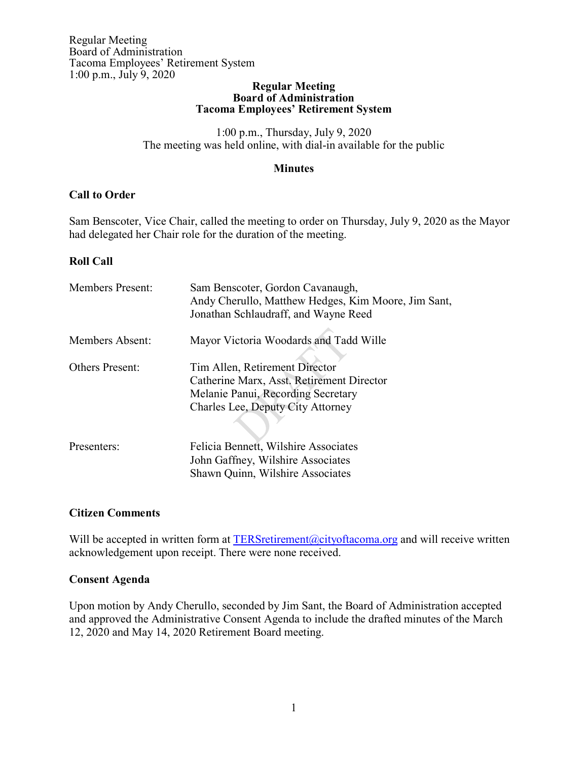#### **Regular Meeting Board of Administration Tacoma Employees' Retirement System**

1:00 p.m., Thursday, July 9, 2020 The meeting was held online, with dial-in available for the public

### **Minutes**

# **Call to Order**

Sam Benscoter, Vice Chair, called the meeting to order on Thursday, July 9, 2020 as the Mayor had delegated her Chair role for the duration of the meeting.

# **Roll Call**

| <b>Members Present:</b> | Sam Benscoter, Gordon Cavanaugh,<br>Andy Cherullo, Matthew Hedges, Kim Moore, Jim Sant,<br>Jonathan Schlaudraff, and Wayne Reed                        |
|-------------------------|--------------------------------------------------------------------------------------------------------------------------------------------------------|
| Members Absent:         | Mayor Victoria Woodards and Tadd Wille                                                                                                                 |
| <b>Others Present:</b>  | Tim Allen, Retirement Director<br>Catherine Marx, Asst. Retirement Director<br>Melanie Panui, Recording Secretary<br>Charles Lee, Deputy City Attorney |
| Presenters:             | Felicia Bennett, Wilshire Associates<br>John Gaffney, Wilshire Associates<br>Shawn Quinn, Wilshire Associates                                          |

# **Citizen Comments**

Will be accepted in written form at  $TERSretirement@city of a coma.org$  and will receive written acknowledgement upon receipt. There were none received.

# **Consent Agenda**

Upon motion by Andy Cherullo, seconded by Jim Sant, the Board of Administration accepted and approved the Administrative Consent Agenda to include the drafted minutes of the March 12, 2020 and May 14, 2020 Retirement Board meeting.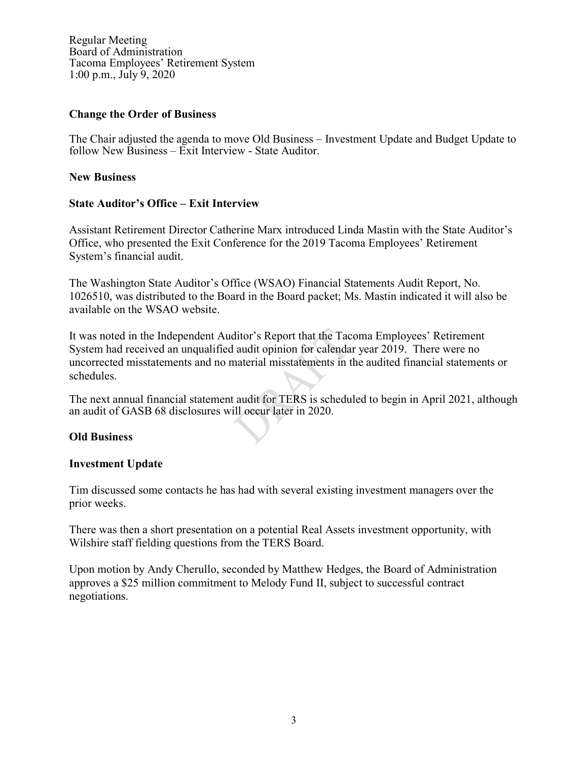Regular Meeting Board of Administration Tacoma Employees' Retirement System 1:00 p.m., July 9, 2020

#### **Change the Order of Business**

The Chair adjusted the agenda to move Old Business – Investment Update and Budget Update to follow New Business – Exit Interview - State Auditor.

### **New Business**

### **State Auditor's Office – Exit Interview**

Assistant Retirement Director Catherine Marx introduced Linda Mastin with the State Auditor's Office, who presented the Exit Conference for the 2019 Tacoma Employees' Retirement System's financial audit.

The Washington State Auditor's Office (WSAO) Financial Statements Audit Report, No. 1026510, was distributed to the Board in the Board packet; Ms. Mastin indicated it will also be available on the WSAO website.

It was noted in the Independent Auditor's Report that the Tacoma Employees' Retirement System had received an unqualified audit opinion for calendar year 2019. There were no uncorrected misstatements and no material misstatements in the audited financial statements or schedules.

The next annual financial statement audit for TERS is scheduled to begin in April 2021, although an audit of GASB 68 disclosures will occur later in 2020.

#### **Old Business**

#### **Investment Update**

Tim discussed some contacts he has had with several existing investment managers over the prior weeks.

There was then a short presentation on a potential Real Assets investment opportunity, with Wilshire staff fielding questions from the TERS Board.

Upon motion by Andy Cherullo, seconded by Matthew Hedges, the Board of Administration approves a \$25 million commitment to Melody Fund II, subject to successful contract negotiations.